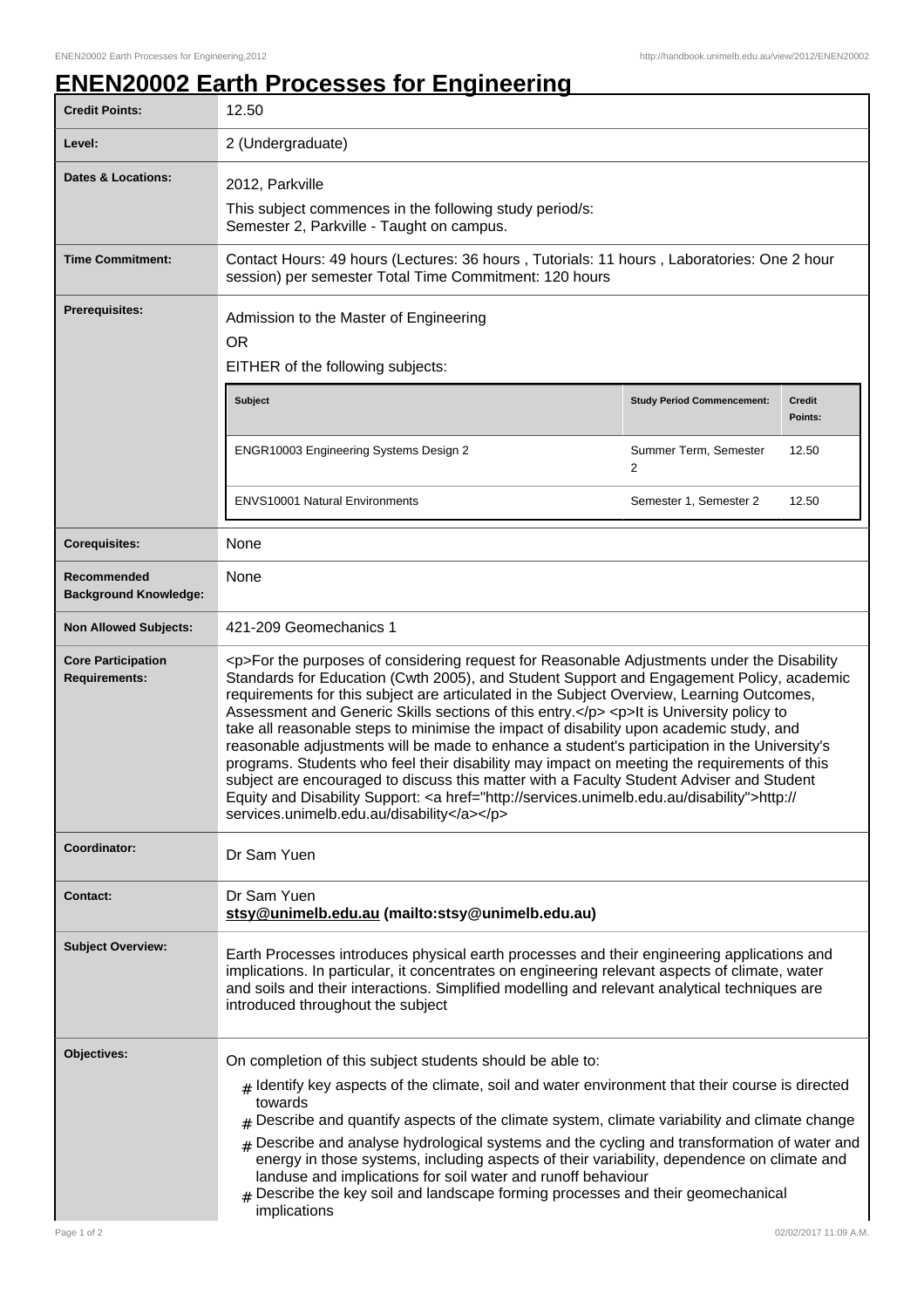## **ENEN20002 Earth Processes for Engineering**

| <b>Credit Points:</b>                             | 12.50                                                                                                                                                                                                                                                                                                                                                                                                                                                                                                                                                                                                                                                                                                                                                                                                                                                                                                                     |                                   |                          |
|---------------------------------------------------|---------------------------------------------------------------------------------------------------------------------------------------------------------------------------------------------------------------------------------------------------------------------------------------------------------------------------------------------------------------------------------------------------------------------------------------------------------------------------------------------------------------------------------------------------------------------------------------------------------------------------------------------------------------------------------------------------------------------------------------------------------------------------------------------------------------------------------------------------------------------------------------------------------------------------|-----------------------------------|--------------------------|
| Level:                                            | 2 (Undergraduate)                                                                                                                                                                                                                                                                                                                                                                                                                                                                                                                                                                                                                                                                                                                                                                                                                                                                                                         |                                   |                          |
| <b>Dates &amp; Locations:</b>                     | 2012, Parkville<br>This subject commences in the following study period/s:<br>Semester 2, Parkville - Taught on campus.                                                                                                                                                                                                                                                                                                                                                                                                                                                                                                                                                                                                                                                                                                                                                                                                   |                                   |                          |
| <b>Time Commitment:</b>                           | Contact Hours: 49 hours (Lectures: 36 hours, Tutorials: 11 hours, Laboratories: One 2 hour<br>session) per semester Total Time Commitment: 120 hours                                                                                                                                                                                                                                                                                                                                                                                                                                                                                                                                                                                                                                                                                                                                                                      |                                   |                          |
| <b>Prerequisites:</b>                             | Admission to the Master of Engineering<br><b>OR</b><br>EITHER of the following subjects:                                                                                                                                                                                                                                                                                                                                                                                                                                                                                                                                                                                                                                                                                                                                                                                                                                  |                                   |                          |
|                                                   | <b>Subject</b>                                                                                                                                                                                                                                                                                                                                                                                                                                                                                                                                                                                                                                                                                                                                                                                                                                                                                                            | <b>Study Period Commencement:</b> | <b>Credit</b><br>Points: |
|                                                   | ENGR10003 Engineering Systems Design 2                                                                                                                                                                                                                                                                                                                                                                                                                                                                                                                                                                                                                                                                                                                                                                                                                                                                                    | Summer Term, Semester<br>2        | 12.50                    |
|                                                   | <b>ENVS10001 Natural Environments</b>                                                                                                                                                                                                                                                                                                                                                                                                                                                                                                                                                                                                                                                                                                                                                                                                                                                                                     | Semester 1, Semester 2            | 12.50                    |
| <b>Corequisites:</b>                              | None                                                                                                                                                                                                                                                                                                                                                                                                                                                                                                                                                                                                                                                                                                                                                                                                                                                                                                                      |                                   |                          |
| Recommended<br><b>Background Knowledge:</b>       | None                                                                                                                                                                                                                                                                                                                                                                                                                                                                                                                                                                                                                                                                                                                                                                                                                                                                                                                      |                                   |                          |
| <b>Non Allowed Subjects:</b>                      | 421-209 Geomechanics 1                                                                                                                                                                                                                                                                                                                                                                                                                                                                                                                                                                                                                                                                                                                                                                                                                                                                                                    |                                   |                          |
| <b>Core Participation</b><br><b>Requirements:</b> | <p>For the purposes of considering request for Reasonable Adjustments under the Disability<br/>Standards for Education (Cwth 2005), and Student Support and Engagement Policy, academic<br/>requirements for this subject are articulated in the Subject Overview, Learning Outcomes,<br/>Assessment and Generic Skills sections of this entry.</p> <p>lt is University policy to<br/>take all reasonable steps to minimise the impact of disability upon academic study, and<br/>reasonable adjustments will be made to enhance a student's participation in the University's<br/>programs. Students who feel their disability may impact on meeting the requirements of this<br/>subject are encouraged to discuss this matter with a Faculty Student Adviser and Student<br/>Equity and Disability Support: <a href="http://services.unimelb.edu.au/disability">http://<br/>services.unimelb.edu.au/disability</a></p> |                                   |                          |
| Coordinator:                                      | Dr Sam Yuen                                                                                                                                                                                                                                                                                                                                                                                                                                                                                                                                                                                                                                                                                                                                                                                                                                                                                                               |                                   |                          |
| <b>Contact:</b>                                   | Dr Sam Yuen<br>stsy@unimelb.edu.au (mailto:stsy@unimelb.edu.au)                                                                                                                                                                                                                                                                                                                                                                                                                                                                                                                                                                                                                                                                                                                                                                                                                                                           |                                   |                          |
| <b>Subject Overview:</b>                          | Earth Processes introduces physical earth processes and their engineering applications and<br>implications. In particular, it concentrates on engineering relevant aspects of climate, water<br>and soils and their interactions. Simplified modelling and relevant analytical techniques are<br>introduced throughout the subject                                                                                                                                                                                                                                                                                                                                                                                                                                                                                                                                                                                        |                                   |                          |
| Objectives:                                       | On completion of this subject students should be able to:<br>$_{\text{\#}}$ Identify key aspects of the climate, soil and water environment that their course is directed<br>towards<br>$#$ Describe and quantify aspects of the climate system, climate variability and climate change<br>$#$ Describe and analyse hydrological systems and the cycling and transformation of water and<br>energy in those systems, including aspects of their variability, dependence on climate and<br>landuse and implications for soil water and runoff behaviour<br>Describe the key soil and landscape forming processes and their geomechanical<br>#<br>implications                                                                                                                                                                                                                                                              |                                   |                          |